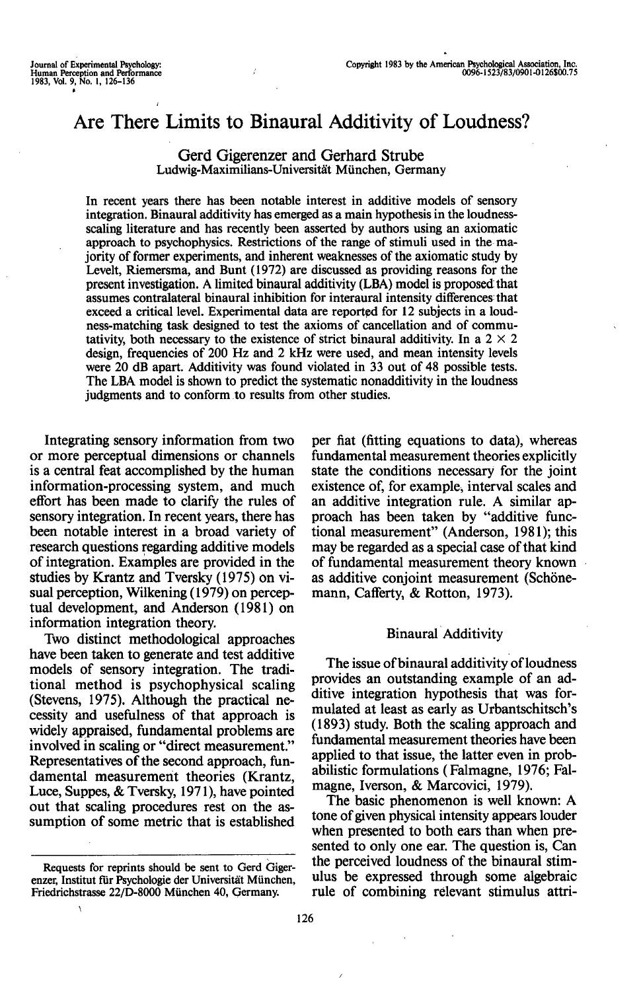# Are There Limits to Binaural Additivity of Loudness?

Gerd Gigerenzer and Gerhard Strube Ludwig-Maximilians-Universitat Munchen, Germany

In recent years there has been notable interest in additive models of sensory integration. Binaural additivity has emerged as a main hypothesis in the loudnessscaling literature and has recently been asserted by authors using an axiomatic approach to psychophysics. Restrictions of the range of stimuli used in the majority of former experiments, and inherent weaknesses of the axiomatic study by Levelt, Riemersma, and Bunt (1972) are discussed as providing reasons for the present investigation. A limited binaural additivity (LBA) model is proposed that assumes contralateral binaural inhibition for interaural intensity differences: that exceed a critical level. Experimental data are reported for 12 subjects in a loudness-matching task designed to test the axioms of cancellation and of commutativity, both necessary to the existence of strict binaural additivity. In a  $2 \times 2$ design, frequencies of 200 Hz and 2 kHz were used, and mean intensity levels were 20 dB apart. Additivity was found violated in 33 out of 48 possible tests. The LBA model is shown to predict the systematic nonadditivity in the loudness judgments and to conform to results from other studies.

Integrating sensory information from two or more perceptual dimensions or channels is a central feat accomplished by the human information-processing system, and much effort has been made to clarify the rules of sensory integration. In recent years, there has been notable interest in a broad variety of research questions regarding additive models of integration. Examples are provided in the studies by Krantz and Tversky (1975) on visual perception, Wilkening (1979) on perceptual development, and Anderson (1981) on information integration theory.

Two distinct methodological approaches have been taken to generate and test additive models of sensory integration. The traditional method is psychophysical scaling (Stevens, 1975). Although the practical necessity and usefulness of that approach is widely appraised, fundamental problems are involved in scaling or "direct measurement." Representatives of the second approach, fundamental measurement theories (Krantz, Luce, Suppes, & Tversky, 1971), have pointed out that scaling procedures rest on the assumption of some metric that is established

per fiat (fitting equations to data), whereas fundamental measurement theories explicitly state the conditions necessary for the joint existence of, for example, interval scales and an additive integration rule. A similar approach has been taken by "additive functional measurement" (Anderson, 1981); this may be regarded as a special case of that kind of fundamental measurement theory known as additive conjoint measurement (Schönemann, Cafferty, & Rotton, 1973).

#### Binaural Additivity

The issue of binaural additivity of loudness provides an outstanding example of an additive integration hypothesis that was formulated at least as early as Urbantschitsch's (1893) study. Both the scaling approach and fundamental measurement theories have been applied to that issue, the latter even in probabilistic formulations (Falmagne, 1976; Falmagne, Iverson, & Marcovici, 1979).

The basic phenomenon is well known: A tone of given physical intensity appears louder when presented to both ears than when presented to only one ear. The question is, Can the perceived loudness of the binaural stimulus be expressed through some algebraic rule of combining relevant stimulus attri-

Requests for reprints should be sent to Gerd Gigerenzer, Institut für Psychologie der Universität München. Friedrichstrasse 22/D-8000 Munchen 40, Germany.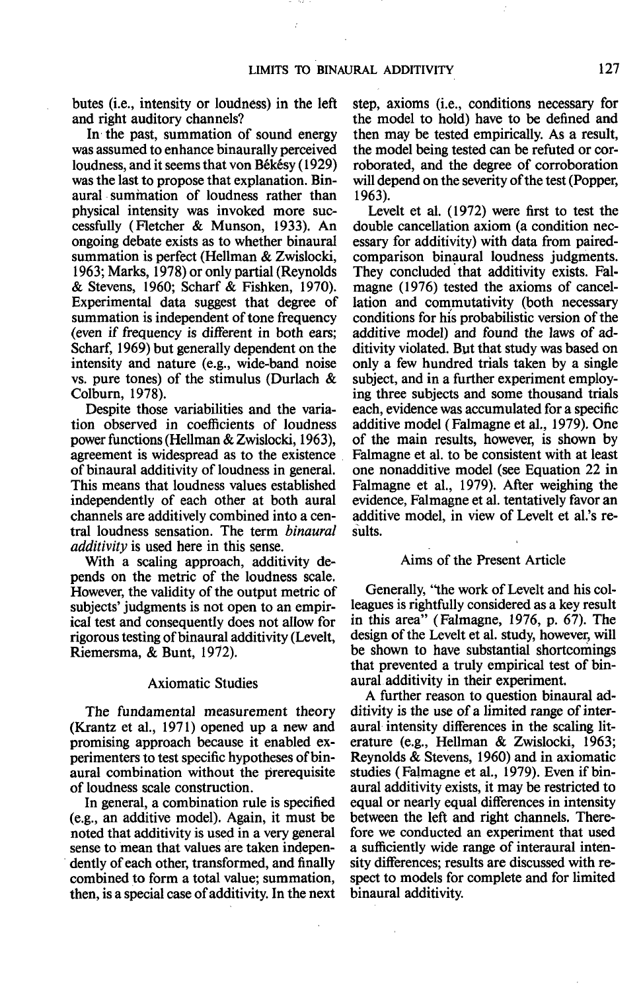butes (i.e., intensity or loudness) in the left and right auditory channels?

In the past, summation of sound energy was assumed to enhance binaurally perceived loudness, and it seems that von Békésy (1929) was the last to propose that explanation. Binaural summation of loudness rather than physical intensity was invoked more successfully (Fletcher & Munson, 1933). An ongoing debate exists as to whether binaural summation is perfect (Hellman & Zwislocki, 1963; Marks, 1978) or only partial (Reynolds & Stevens, 1960; Scharf & Fishken, 1970). Experimental data suggest that degree of summation is independent of tone frequency (even if frequency is different in both ears; Scharf, 1969) but generally dependent on the intensity and nature (e.g., wide-band noise vs. pure tones) of the stimulus (Durlach & Colburn, 1978).

Despite those variabilities and the variation observed in coefficients of loudness power functions (Hellman & Zwislocki, 1963), agreement is widespread as to the existence of binaural additivity of loudness in general. This means that loudness values established independently of each other at both aural channels are additively combined into a central loudness sensation. The term *binaural additivity* is used here in this sense.

With a scaling approach, additivity depends on the metric of the loudness scale. However, the validity of the output metric of subjects' judgments is not open to an empirical test and consequently does not allow for rigorous testing of binaural additivity (Levelt, Riemersma, & Bunt, 1972).

# Axiomatic Studies

The fundamental measurement theory (Krantz et al., 1971) opened up a new and promising approach because it enabled experimenters to test specific hypotheses of binaural combination without the prerequisite of loudness scale construction.

In general, a combination rule is specified (e.g., an additive model). Again, it must be noted that additivity is used in a very general sense to mean that values are taken independently of each other, transformed, and finally combined to form a total value; summation, then, is a special case of additivity. In the next step, axioms (i.e., conditions necessary for the model to hold) have to be defined and then may be tested empirically. As a result, the model being tested can be refuted or corroborated, and the degree of corroboration will depend on the severity of the test (Popper, 1963).

Levelt et al. (1972) were first to test the double cancellation axiom (a condition necessary for additivity) with data from pairedcomparison binaural loudness judgments. They concluded that additivity exists. Falmagne (1976) tested the axioms of cancellation and commutativity (both necessary conditions for his probabilistic version of the additive model) and found the laws of additivity violated. But that study was based on only a few hundred trials taken by a single subject, and in a further experiment employing three subjects and some thousand trials each, evidence was accumulated for a specific additive model (Falmagne et al., 1979). One of the main results, however, is shown by Falmagne et al. to be consistent with at least one nonadditive model (see Equation 22 in Falmagne et al., 1979). After weighing the evidence, Falmagne et al. tentatively favor an additive model, in view of Levelt et al.'s results.

# Aims of the Present Article

Generally, "the work of Levelt and his colleagues is rightfully considered as a key result in this area" (Falmagne, 1976, p. 67). The design of the Levelt et al. study, however, will be shown to have substantial shortcomings that prevented a truly empirical test of binaural additivity in their experiment.

A further reason to question binaural additivity is the use of a limited range of interaural intensity differences in the scaling literature (e.g., Hellman & Zwislocki, 1963; Reynolds & Stevens, 1960) and in axiomatic studies (Falmagne et al., 1979). Even if binaural additivity exists, it may be restricted to equal or nearly equal differences in intensity between the left and right channels. Therefore we conducted an experiment that used a sufficiently wide range of interaural intensity differences; results are discussed with respect to models for complete and for limited binaural additivity.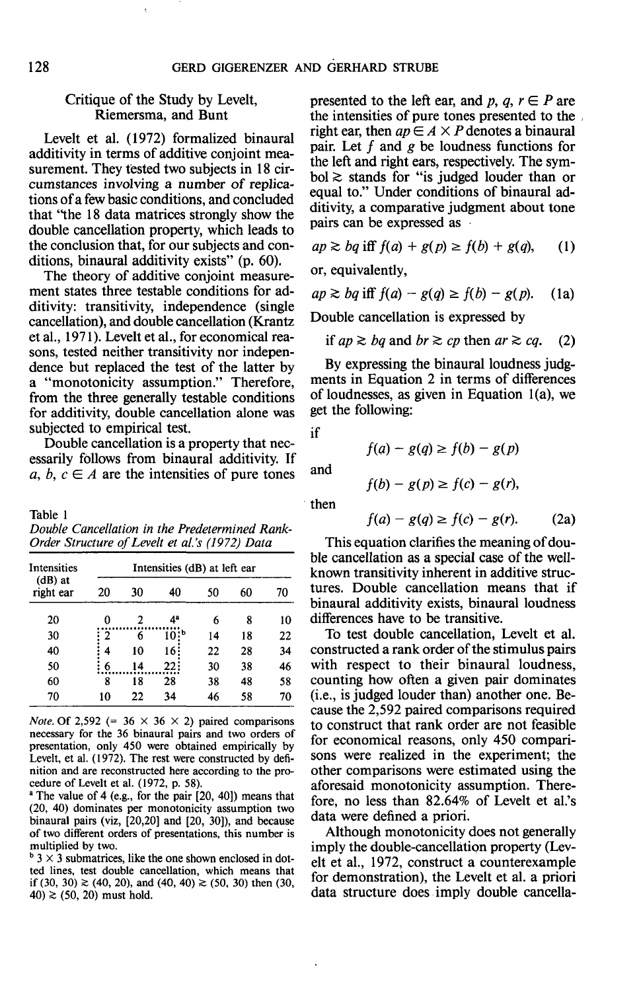# Critique of the Study by Levelt, Riemersma, and Bunt

Levelt et al. (1972) formalized binaural additivity in terms of additive conjoint measurement. They tested two subjects in 18 circumstances involving a number of replications of a few basic conditions, and concluded that "the 18 data matrices strongly show the double cancellation property, which leads to the conclusion that, for our subjects and conditions, binaural additivity exists" (p. 60).

The theory of additive conjoint measurement states three testable conditions for additivity: transitivity, independence (single cancellation), and double cancellation (Krantz et al., 1971). Levelt et al., for economical reasons, tested neither transitivity nor independence but replaced the test of the latter by a "monotonicity assumption." Therefore, from the three generally testable conditions for additivity, double cancellation alone was subjected to empirical test.

Double cancellation is a property that necessarily follows from binaural additivity. If *a, b, c*  $\in$  *A* are the intensities of pure tones

Table 1 *Double Cancellation in the Predetermined Rank-Order Structure of Levelt et al.'s (1972) Data*

| Intensities            | Intensities (dB) at left ear |    |      |    |    |    |
|------------------------|------------------------------|----|------|----|----|----|
| $(dB)$ at<br>right ear | 20                           | 30 | 40   | 50 | 60 | 70 |
| 20                     | 0                            | 2  | 4ª   | 6  | 8  | 10 |
| 30                     | 2                            | 6  | 10:  | 14 | 18 | 22 |
| 40                     | 4                            | 10 | 16:  | 22 | 28 | 34 |
| 50                     | 6                            | 14 | 22 i | 30 | 38 | 46 |
| 60                     | 8                            | 18 | 28   | 38 | 48 | 58 |
| 70                     | 10                           | 22 | 34   | 46 | 58 | 70 |

*Note.* Of 2,592 (=  $36 \times 36 \times 2$ ) paired comparisons necessary for the 36 binaural pairs and two orders of presentation, only 450 were obtained empirically by Levelt, et al. (1972). The rest were constructed by definition and are reconstructed here according to the procedure of Levelt et al. (1972, p. 58).

a The value of 4 (e.g., for the pair [20, 40]) means that (20, 40) dominates per monotonicity assumption two binaural pairs (viz, [20,20] and [20, 30]), and because of two different orders of presentations, this number is multiplied by two.

 $b$  3  $\times$  3 submatrices, like the one shown enclosed in dotted lines, test double cancellation, which means that if (30, 30)  $\geq$  (40, 20), and (40, 40)  $\geq$  (50, 30) then (30,  $40 \ge (50, 20)$  must hold.

presented to the left ear, and p, q,  $r \in P$  are the intensities of pure tones presented to the right ear, then  $ap \in A \times P$  denotes a binaural pair. Let f and g be loudness functions for the left and right ears, respectively. The symbol  $\ge$  stands for "is judged louder than or equal to." Under conditions of binaural additivity, a comparative judgment about tone pairs can be expressed as

$$
ap \gtrsim bq \text{ iff } f(a) + g(p) \ge f(b) + g(q), \qquad (1)
$$

or, equivalently,

$$
ap \ge bq \text{ iff } f(a) - g(q) \ge f(b) - g(p). \quad \text{(1a)}
$$

Double cancellation is expressed by

if 
$$
ap \ge bq
$$
 and  $br \ge cp$  then  $ar \ge cq$ . (2)

By expressing the binaural loudness judgments in Equation 2 in terms of differences of loudnesses, as given in Equation l(a), we get the following:

and

if

$$
f(b) - g(p) \ge f(c) - g(r),
$$

 $f(a) - g(a) \geq f(b) - g(p)$ 

then

$$
f(a) - g(q) \ge f(c) - g(r). \tag{2a}
$$

This equation clarifies the meaning of double cancellation as a special case of the wellknown transitivity inherent in additive structures. Double cancellation means that if binaural additivity exists, binaural loudness differences have to be transitive.

To test double cancellation, Levelt et al. constructed a rank order of the stimulus pairs with respect to their binaural loudness, counting how often a given pair dominates (i.e., is judged louder than) another one. Because the 2,592 paired comparisons required to construct that rank order are not feasible for economical reasons, only 450 comparisons were realized in the experiment; the other comparisons were estimated using the aforesaid monotonicity assumption. Therefore, no less than 82.64% of Levelt et al.'s data were defined a priori.

Although monotonicity does not generally imply the double-cancellation property (Levelt et al., 1972, construct a counterexample for demonstration), the Levelt et al. a priori data structure does imply double cancella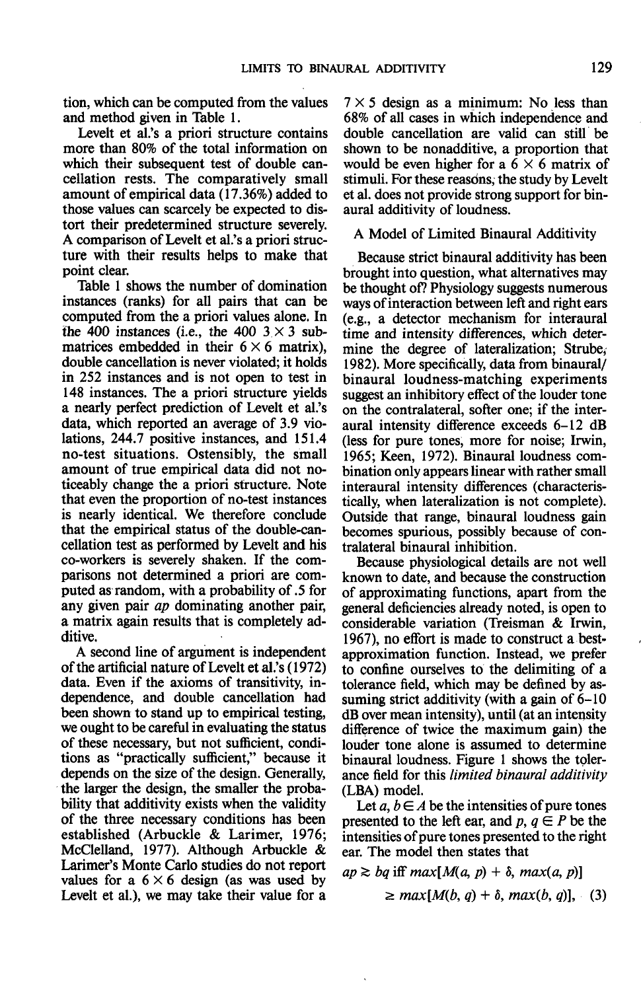tion, which can be computed from the values and method given in Table 1.

Levelt et al.'s a priori structure contains more than 80% of the total information on which their subsequent test of double cancellation rests. The comparatively small amount of empirical data (17.36%) added to those values can scarcely be expected to distort their predetermined structure severely. A comparison of Levelt et al.'s a priori structure with their results helps to make that point clear.

Table 1 shows the number of domination instances (ranks) for all pairs that can be computed from the a priori values alone. In the 400 instances (i.e., the 400  $3 \times 3$  submatrices embedded in their  $6 \times 6$  matrix). double cancellation is never violated; it holds in 252 instances and is not open to test in 148 instances. The a priori structure yields a nearly perfect prediction of Levelt et al.'s data, which reported an average of 3.9 violations, 244.7 positive instances, and 151,4 no-test situations. Ostensibly, the small amount of true empirical data did not noticeably change the a priori structure. Note that even the proportion of no-test instances is nearly identical. We therefore conclude that the empirical status of the double-cancellation test as performed by Levelt and his co-workers is severely shaken. If the comparisons not determined a priori are computed as random, with a probability of .5 for any given pair *ap* dominating another pair, a matrix again results that is completely additive.

A second line of argument is independent of the artificial nature of Levelt et al.'s (1972) data. Even if the axioms of transitivity, independence, and double cancellation had been shown to stand up to empirical testing, we ought to be careful in evaluating the status of these necessary, but not sufficient, conditions as "practically sufficient," because it depends on the size of the design. Generally, the larger the design, the smaller the probability that additivity exists when the validity of the three necessary conditions has been established (Arbuckle & Larimer, 1976; McClelland, 1977). Although Arbuckle & Larimer's Monte Carlo studies do not report values for a  $6 \times 6$  design (as was used by Levelt et al.), we may take their value for a

 $7 \times 5$  design as a minimum: No less than 68% of all cases in which independence and double cancellation are valid can still be shown to be nonadditive, a proportion that would be even higher for a  $6 \times 6$  matrix of stimuli. For these reasons, the study by Levelt et al. does not provide strong support for binaural additivity of loudness.

# A Model of Limited Binaural Additivity

Because strict binaural additivity has been brought into question, what alternatives may be thought of? Physiology suggests numerous ways of interaction between left and right ears (e.g., a detector mechanism for interaural time and intensity differences, which determine the degree of lateralization; Strube; 1982). More specifically, data from binaural/ binaural loudness-matching experiments suggest an inhibitory effect of the louder tone on the contralateral, softer one; if the interaural intensity difference exceeds 6-12 dB (less for pure tones, more for noise; Irwin, 1965; Keen, 1972). Binaural loudness combination only appears linear with rather small interaural intensity differences (characteristically, when lateralization is not complete). Outside that range, binaural loudness gain becomes spurious, possibly because of contralateral binaural inhibition.

Because physiological details are not well known to date, and because the construction of approximating functions, apart from the general deficiencies already noted, is open to considerable variation (Treisman & Irwin, 1967), no effort is made to construct a bestapproximation function. Instead, we prefer to confine ourselves to the delimiting of a tolerance field, which may be defined by assuming strict additivity (with a gain of 6-10 dB over mean intensity), until (at an intensity difference of twice the maximum gain) the louder tone alone is assumed to determine binaural loudness. Figure 1 shows the tolerance field for this *limited binaural additivity* (LBA) model.

Let  $a, b \in A$  be the intensities of pure tones presented to the left ear, and  $p, q \in P$  be the intensities of pure tones presented to the right ear. The model then states that

 $ap \geq bq$  iff  $max[M(a, p) + \delta, max(a, p)]$  $\geq max[M(b, q) + \delta, max(b, q)],$  (3)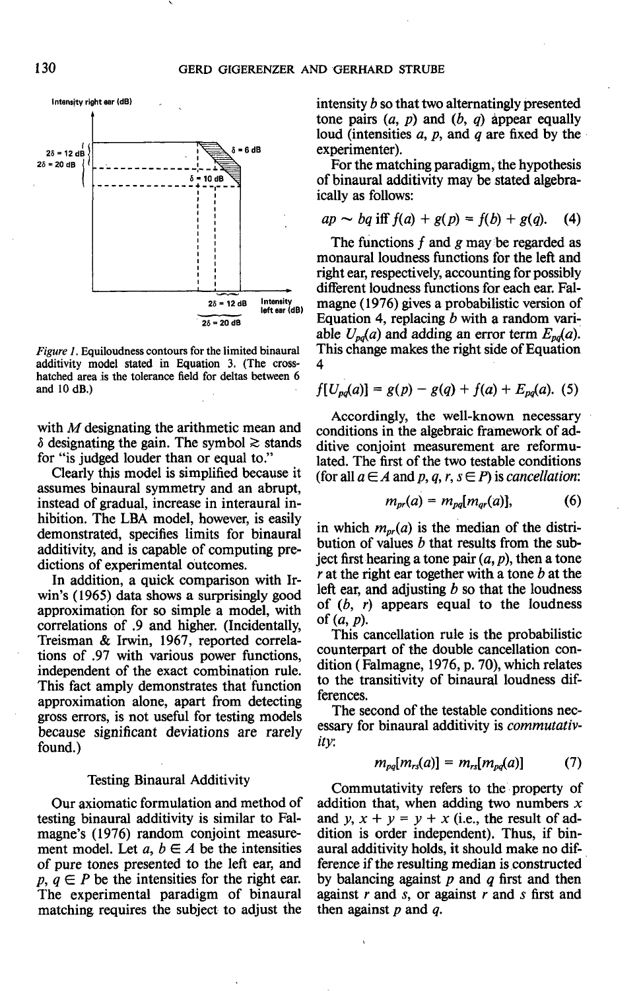

*Figure 1.* Equiloudness contours for the limited binaural additivity model stated in Equation 3. (The crosshatched area is the tolerance field for deltas between 6 and 10 dB,)

with *M* designating the arithmetic mean and  $\delta$  designating the gain. The symbol  $\gtrsim$  stands for "is judged louder than or equal to."

Clearly this model is simplified because it assumes binaural symmetry and an abrupt, instead of gradual, increase in interaural inhibition. The LBA model, however, is easily demonstrated, specifies limits for binaural additivity, and is capable of computing predictions of experimental outcomes.

In addition, a quick comparison with Irwin's (1965) data shows a surprisingly good approximation for so simple a model, with correlations of .9 and higher. (Incidentally, Treisman & Irwin, 1967, reported correlations of .97 with various power functions, independent of the exact combination rule. This fact amply demonstrates that function approximation alone, apart from detecting gross errors, is not useful for testing models because significant deviations are rarely found.)

### Testing Binaural Additivity

Our axiomatic formulation and method of testing binaural additivity is similar to Falmagne's (1976) random conjoint measurement model. Let  $a, b \in A$  be the intensities of pure tones presented to the left ear, and  $p, q \in P$  be the intensities for the right ear. The experimental paradigm of binaural matching requires the subject to adjust the intensity *b* so that two alternatingly presented tone pairs *(a, p)* and *(b, q)* appear equally loud (intensities *a, p,* and *q* are fixed by the experimenter).

For the matching paradigm, the hypothesis of binaural additivity may be stated algebraically as follows:

$$
ap \sim bq \text{ iff } f(a) + g(p) = f(b) + g(q). \quad (4)
$$

The functions f and g may be regarded as monaural loudness functions for the left and right ear, respectively, accounting for possibly different loudness functions for each ear. Falmagne (1976) gives a probabilistic version of Equation 4, replacing *b* with a random variable  $U_{pq}(a)$  and adding an error term  $E_{pq}(a)$ . This change makes the right side of Equation 4

$$
f[U_{pq}(a)] = g(p) - g(q) + f(a) + E_{pq}(a). (5)
$$

Accordingly, the well-known necessary conditions in the algebraic framework of additive conjoint measurement are reformulated. The first of the two testable conditions (for all  $a \in A$  and  $p, q, r, s \in P$ ) is *cancellation*:

$$
m_{pr}(a) = m_{pq}[m_{qr}(a)], \qquad (6)
$$

in which  $m_{pr}(a)$  is the median of the distribution of values *b* that results from the subject first hearing a tone pair  $(a, p)$ , then a tone *r* at the right ear together with a tone *b* at the left ear, and adjusting *b* so that the loudness of *(b, r)* appears equal to the loudness *of(a,p).*

This cancellation rule is the probabilistic counterpart of the double cancellation condition (Falmagne, 1976, p. 70), which relates to the transitivity of binaural loudness differences.

The second of the testable conditions necessary for binaural additivity is *commutativity.*

$$
m_{pq}[m_{rs}(a)] = m_{rs}[m_{pq}(a)] \qquad (7)
$$

Commutativity refers to the property of addition that, when adding two numbers *x* and y,  $x + y = y + x$  (i.e., the result of addition is order independent). Thus, if binaural additivity holds, it should make no difference if the resulting median is constructed by balancing against *p* and *q* first and then against *r* and *s,* or against *r* and *s* first and then against *p* and *q.*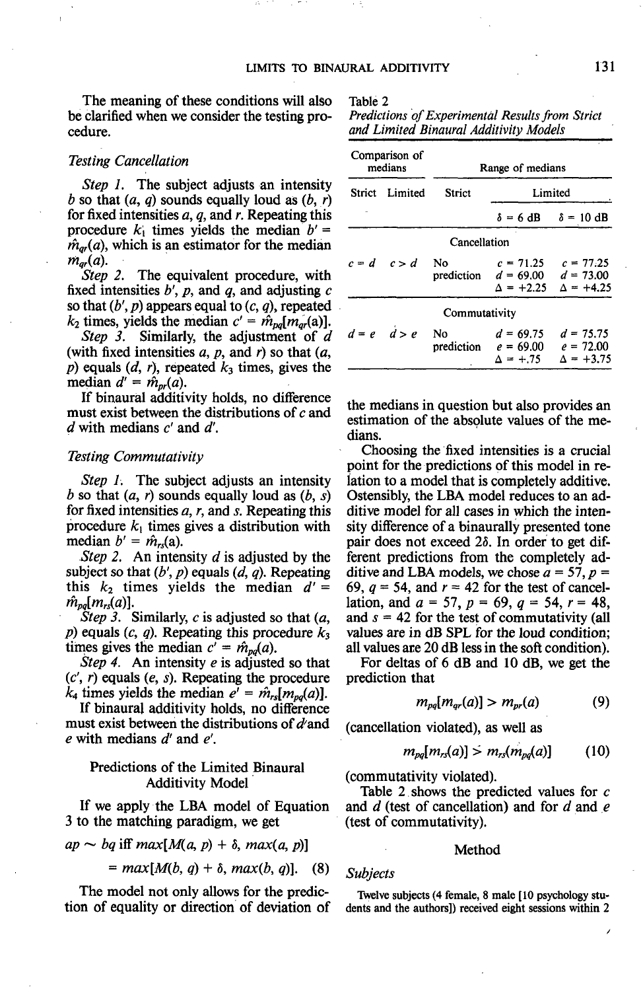Table 2

The meaning of these conditions will also be clarified when we consider the testing procedure.

### *Testing Cancellation*

*Step 1.* The subject adjusts an intensity *b* so that *(a, q)* sounds equally loud as *(b, r)* for fixed intensities *a, q,* and *r.* Repeating this procedure  $k_1$  times yields the median  $b'$  =  $\hat{m}_{\alpha}(a)$ , which is an estimator for the median  $m_{qr}(a)$ .<br>Step 2.

The equivalent procedure, with fixed intensities *b', p,* and *q,* and adjusting *c* so that  $(b', p)$  appears equal to  $(c, q)$ , repeated  $k_2$  times, yields the median  $c' = \hat{m}_{\text{tot}}[m_{\text{av}}(a)].$ 

*Step 3.* Similarly, the adjustment of *d* (with fixed intensities *a, p,* and r) so that *(a,*  $p)$  equals  $(d, r)$ , repeated  $k_3$  times, gives the median  $d' = m_p(a)$ .

If binaural additivity holds, no difference must exist between the distributions of c and *d* with medians *c'* and *d'.*

#### *Testing Commutativity*

*Step 1.* The subject adjusts an intensity *b* so that *(a, r)* sounds equally loud as *(b, s)* for fixed intensities *a, r,* and *s.* Repeating this procedure  $k_1$  times gives a distribution with median  $b' = \hat{m}_{rs}(a)$ .

*Step 2.* An intensity *d* is adjusted by the subject so that *(b', p)* equals *(d, q).* Repeating this  $k_2$  times yields the median  $d' = \hat{m}_{pq}[m_{rs}(a)]$ .

*Step 3.* Similarly, *c* is adjusted so that *(a,*  $p)$  equals (*c, q*). Repeating this procedure  $k_3$ times gives the median  $c' = \hat{m}_{pq}(a)$ .

*Step 4.* An intensity *e* is adjusted so that *(c', r)* equals (e, *s).* Repeating the procedure  $k_4$  times yields the median  $e' = \hat{m}_{rs}[m_{pq}(a)].$ 

If binaural additivity holds, no difference must exist between the distributions of  $d'$  and *e* with medians *d'* and *e'.*

# Predictions of the Limited Binaural Additivity Model

If we apply the LBA model of Equation 3 to the matching paradigm, we get

$$
ap \sim bq
$$
 iff  $max[M(a, p) + \delta, max(a, p)]$ 

$$
= max[M(b, q) + \delta, max(b, q)].
$$
 (8)

The model not only allows for the prediction of equality or direction of deviation of *Predictions of Experimental Results from Strict and Limited Binaural Additivity Models*

| Comparison of<br>medians |                     | Range of medians |                                                           |                                                |  |
|--------------------------|---------------------|------------------|-----------------------------------------------------------|------------------------------------------------|--|
| Strict                   | Limited             | <b>Strict</b>    | Limited                                                   |                                                |  |
|                          |                     |                  | $\delta = 6$ dB                                           | $\delta = 10$ dB                               |  |
| Cancellation             |                     |                  |                                                           |                                                |  |
|                          | $c = d \quad c > d$ | No.              | $c = 71.25$<br>prediction $d = 69.00$<br>$\Delta = +2.25$ | $c = 77.25$<br>$d = 73.00$<br>$\Delta = +4.25$ |  |
| Commutativity            |                     |                  |                                                           |                                                |  |
|                          | $d = e \quad d > e$ | - No             | $d = 69.75$<br>prediction $e = 69.00$<br>$\Delta = +.75$  | $d = 75.75$<br>$e = 72.00$<br>$\Delta = +3.75$ |  |

the medians in question but also provides an estimation of the absolute values of the medians.

Choosing the fixed intensities is a crucial point for the predictions of this model in relation to a model that is completely additive. Ostensibly, the LBA model reduces to an additive model for all cases in which the intensity difference of a binaurally presented tone pair does not exceed  $2\delta$ . In order to get different predictions from the completely additive and LBA models, we chose *a =* 57, *p =* 69,  $q = 54$ , and  $r = 42$  for the test of cancellation, and *a =* 57, *p* = 69, *q* = 54, *r =* 48, and  $s = 42$  for the test of commutativity (all values are in dB SPL for the loud condition; all values are 20 dB less in the soft condition).

For deltas of 6 dB and 10 dB, we get the prediction that

$$
m_{pq}[m_{qr}(a)] > m_{pr}(a) \tag{9}
$$

(cancellation violated), as well as

$$
m_{pq}[m_{rs}(a)] > m_{rs}(m_{pq}(a)] \tag{10}
$$

(Commutativity violated).

Table 2 shows the predicted values for *c* and *d* (test of cancellation) and for *d* and *e* (test of commutativity).

#### Method

#### *Subjects*

Twelve subjects (4 female, 8 male [10 psychology students and the authors]) received eight sessions within 2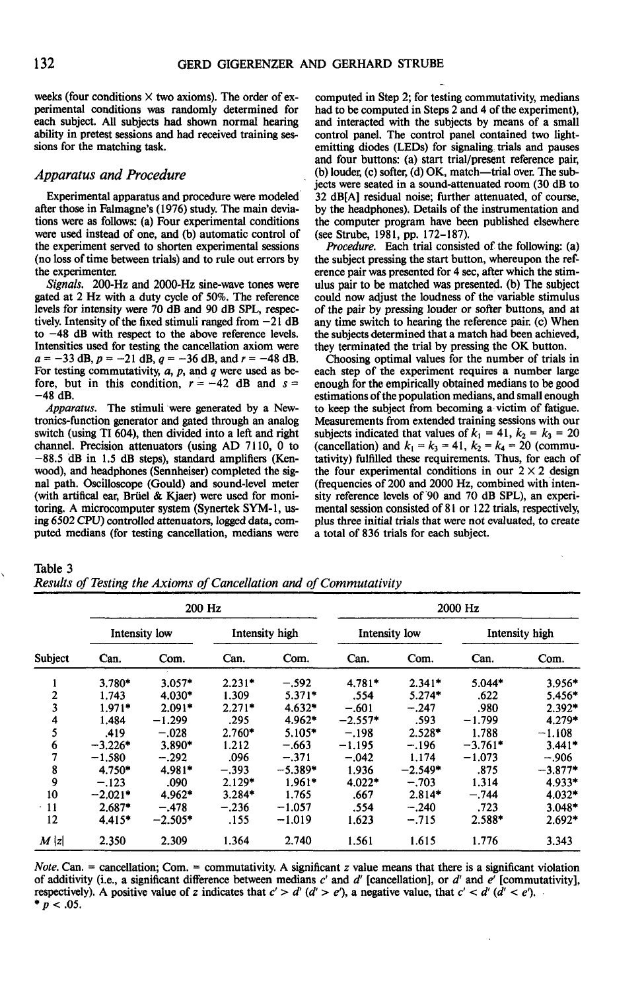weeks (four conditions  $\times$  two axioms). The order of experimental conditions was randomly determined for each subject. All subjects had shown normal hearing ability in pretest sessions and had received training sessions for the matching task.

### *Apparatus and Procedure*

Experimental apparatus and procedure were modeled after those in Falmagne's (1976) study. The main deviations were as follows: (a) Four experimental conditions were used instead of one, and (b) automatic control of the experiment served to shorten experimental sessions (no loss of time between trials) and to rule out errors by the experimenter.

*Signals.* 200-Hz and 2000-Hz sine-wave tones were gated at 2 Hz with a duty cycle of 50%. The reference levels for intensity were 70 dB and 90 dB SPL, respectively. Intensity of the fixed stimuli ranged from  $-21$  dB to —48 dB with respect to the above reference levels. Intensities used for testing the cancellation axiom were  $a = -33$  dB,  $p = -21$  dB,  $q = -36$  dB, and  $r = -48$  dB. For testing commutativity, *a, p,* and *q* were used as before, but in this condition,  $r = -42$  dB and  $s =$ -48 dB.

*Apparatus.* The stimuli were generated by a Newtronics-function generator and gated through an analog switch (using TI 604), then divided into a left and right channel. Precision attenuators (using AD 7110, 0 to  $-88.5$  dB in 1.5 dB steps), standard amplifiers (Kenwood), and headphones (Sennheiser) completed the signal path. Oscilloscope (Gould) and sound-level meter (with artifical ear, Briiel & Kjaer) were used for monitoring. A microcomputer system (Synertek SYM-1, using 6502 CPU) controlled attenuators, logged data, computed medians (for testing cancellation, medians were

computed in Step 2; for testing commutativity, medians had to be computed in Steps 2 and 4 of the experiment), and interacted with the subjects by means of a small control panel. The control panel contained two lightemitting diodes (LEDs) for signaling; trials and pauses and four buttons: (a) start trial/present reference pair, (b) louder, (c) softer, (d) OK, match—trial over. The subjects were seated in a sound-attenuated room (30 dB to 32 dB[A] residual noise; further attenuated, of course, by the headphones). Details of the instrumentation and the computer program have been published elsewhere (see Strube, 1981, pp. 172-187).

*Procedure.* Each trial consisted of the following: (a) the subject pressing the start button, whereupon the reference pair was presented for 4 sec, after which the stimulus pair to be matched was presented, (b) The subject could now adjust the loudness of the variable stimulus of the pair by pressing louder or softer buttons, and at any time switch to hearing the reference pair, (c) When the subjects determined that a match had been achieved, they terminated the trial by pressing the OK button.

Choosing optimal values for the number of trials in each step of the experiment requires a number large enough for the empirically obtained medians to be good estimations of the population medians, and small enough to keep the subject from becoming a victim of fatigue. Measurements from extended training sessions with our subjects indicated that values of  $k_1 = 41$ ,  $k_2 = k_3 = 20$ (cancellation) and  $k_1 = k_3 = 41$ ,  $k_2 = k_4 = 20$  (commutativity) fulfilled these requirements. Thus, for each of the four experimental conditions in our  $2 \times 2$  design (frequencies of 200 and 2000 Hz, combined with intensity reference levels of 90 and 70 dB SPL), an experimental session consisted of 81 or 122 trials, respectively, plus three initial trials that were not evaluated, to create a total of 836 trials for each subject.

#### Table 3

*Results of Testing the Axioms of Cancellation and of Commutativity*

|               |           | 200 Hz        |          |                | 2000 Hz   |               |           |                |  |
|---------------|-----------|---------------|----------|----------------|-----------|---------------|-----------|----------------|--|
|               |           | Intensity low |          | Intensity high |           | Intensity low |           | Intensity high |  |
| Subject       | Can.      | Com.          | Can.     | Com.           | Can.      | Com.          | Can.      | Com.           |  |
| 1             | 3.780*    | $3.057*$      | $2.231*$ | $-.592$        | $4.781*$  | $2.341*$      | $5.044*$  | 3.956*         |  |
|               | 1.743     | 4.030*        | 1.309    | $5.371*$       | .554      | 5.274*        | .622      | 5.456*         |  |
| $\frac{2}{3}$ | $1.971*$  | $2.091*$      | $2.271*$ | $4.632*$       | $-.601$   | $-.247$       | .980      | $2.392*$       |  |
| 4             | 1.484     | $-1.299$      | .295     | 4.962*         | $-2.557*$ | .593          | $-1.799$  | 4.279*         |  |
| 5             | .419      | $-.028$       | $2.760*$ | $5.105*$       | $-.198$   | $2.528*$      | 1.788     | $-1.108$       |  |
| 6             | $-3.226*$ | 3.890*        | 1.212    | $-.663$        | $-1.195$  | $-.196$       | $-3.761*$ | $3.441*$       |  |
| 7             | $-1.580$  | $-.292$       | .096     | $-.371$        | $-.042$   | 1.174         | $-1.073$  | $-.906$        |  |
| 8             | 4.750*    | $4.981*$      | $-.393$  | $-5.389*$      | 1.936     | $-2.549*$     | .875      | $-3.877*$      |  |
| 9             | $-.123$   | .090          | $2.129*$ | $1.961*$       | $4.022*$  | $-.703$       | 1.314     | 4.933*         |  |
| 10            | $-2.021*$ | $4.962*$      | $3.284*$ | 1.765          | .667      | $2.814*$      | $-.744$   | 4.032*         |  |
| $\cdot$ 11    | $2.687*$  | $-.478$       | $-.236$  | $-1.057$       | .554      | $-.240$       | .723      | $3.048*$       |  |
| 12            | $4.415*$  | $-2.505*$     | .155     | $-1.019$       | 1.623     | $-.715$       | 2.588*    | $2.692*$       |  |
| M z           | 2.350     | 2.309         | 1.364    | 2.740          | 1.561     | 1.615         | 1.776     | 3.343          |  |

*Note.* Can. = cancellation; Com. = commutativity. A significant *z* value means that there is a significant violation of additivity (i.e., a significant difference between medians *c'* and *d'* [cancellation], or *d'* and *e'* [commutativity], respectively). A positive value of z indicates that  $c' > d'$  ( $d' > e'$ ), a negative value, that  $c' < d'$  ( $d' < e'$ ). *\*p<* .05.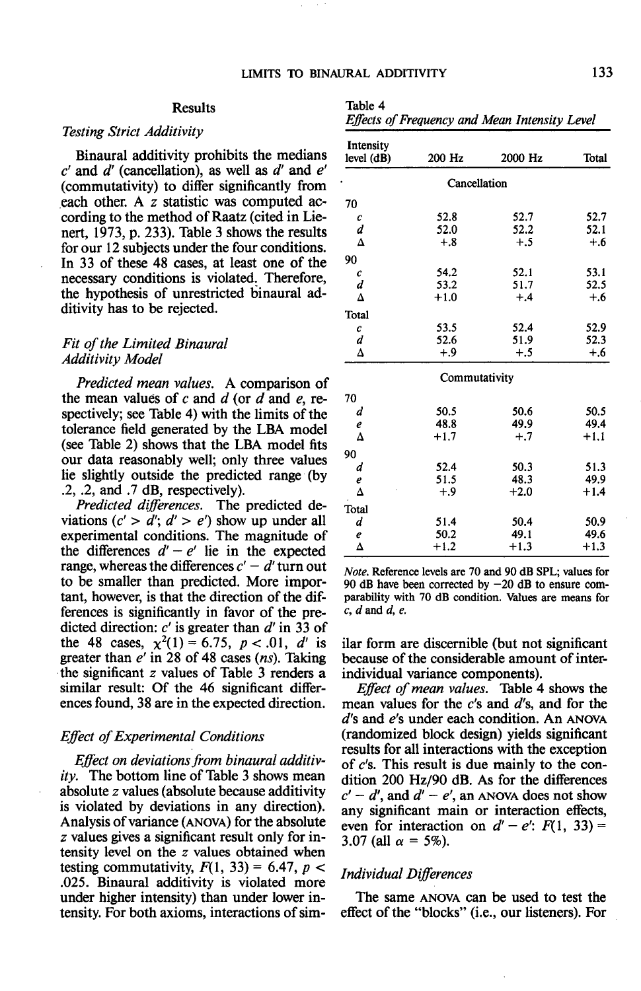Table 4

#### **Results**

### *Testing Strict Additivity*

Binaural additivity prohibits the medians *c'* and *d'* (cancellation), as well as *d'* and *e'* (commutativity) to differ significantly from each other. A z statistic was computed according to the method of Raatz (cited in Lienert, 1973, p. 233). Table 3 shows the results for our 12 subjects under the four conditions. In 33 of these 48 cases, at least one of the necessary conditions is violated. Therefore, the hypothesis of unrestricted binaural additivity has to be rejected.

# *Fit of the Limited Binaural Additivity Model*

*Predicted mean values.* A comparison of the mean values of *c* and *d* (or *d* and *e,* respectively; see Table 4) with the limits of the tolerance field generated by the LBA model (see Table 2) shows that the LBA model fits our data reasonably well; only three values lie slightly outside the predicted range (by .2, .2, and .7 dB, respectively).

*Predicted differences.* The predicted deviations ( $c' > d'$ ;  $d' > e'$ ) show up under all experimental conditions. The magnitude of the differences  $d' - e'$  lie in the expected range, whereas the differences *c' — d'* turn out to be smaller than predicted. More important, however, is that the direction of the differences is significantly in favor of the predicted direction: *c'* is greater than *d'* in 33 of the 48 cases,  $\chi^2(1) = 6.75$ ,  $p < .01$ , d<sup>*i*</sup> is greater than *e'* in 28 of 48 cases *(ns).* Taking the significant *z* values of Table 3 renders a similar result: Of the 46 significant differences found, 38 are in the expected direction.

### *Effect of Experimental Conditions*

*Effect on deviations from binaural additivity.* The bottom line of Table 3 shows mean absolute z values (absolute because additivity is violated by deviations in any direction). Analysis of variance (ANOVA) for the absolute *z* values gives a significant result only for intensity level on the *z* values obtained when testing commutativity,  $F(1, 33) = 6.47$ ,  $p <$ .025. Binaural additivity is violated more under higher intensity) than under lower intensity. For both axioms, interactions of sim-

| Effects of Frequency and Mean Intensity Level |        |         |       |  |  |  |
|-----------------------------------------------|--------|---------|-------|--|--|--|
| Intensity<br>level (dB)                       | 200 Hz | 2000 Hz | Total |  |  |  |
|                                               |        |         |       |  |  |  |

|       | Cancellation  |        |        |
|-------|---------------|--------|--------|
| 70    |               |        |        |
| C     | 52.8          | 52.7   | 52.7   |
| d     | 52.0          | 52.2   | 52.1   |
| Δ     | $+.8$         | $+.5$  | $+.6$  |
| 90    |               |        |        |
| C     | 54.2          | 52.1   | 53.1   |
| d     | 53.2          | 51.7   | 52.5   |
| Δ     | $+1.0$        | $+.4$  | $+.6$  |
| Total |               |        |        |
| c     | 53.5          | 52.4   | 52.9   |
| d     | 52.6          | 51.9   | 52.3   |
| Δ     | $+.9$         | $+.5$  | $+.6$  |
|       | Commutativity |        |        |
| 70    |               |        |        |
| d     | 50.5          | 50.6   | 50.5   |
| e     | 48.8          | 49.9   | 49.4   |
| Δ     | $+1.7$        | $+.7$  | $+1.1$ |
| 90    |               |        |        |
| d     | 52.4          | 50.3   | 51.3   |
| e     | 51.5          | 48.3   | 49.9   |
| Δ     | $+.9$         | $+2.0$ | $+1.4$ |
| Total |               |        |        |
| d     | 51.4          | 50.4   | 50.9   |
| e     | 50.2          | 49.1   | 49.6   |
| Δ     | $+1.2$        | $+1.3$ | $+1.3$ |

*Note.* Reference levels are 70 and 90 dB SPL; values for 90 dB have been corrected by  $-20$  dB to ensure comparability with 70 dB condition. Values are means for *c, d* and *d, e.*

ilar form are discernible (but not significant because of the considerable amount of interindividual variance components).

*Effect of mean values.* Table 4 shows the mean values for the c's and *d's,* and for the *d's* and *e's* under each condition. An ANOVA (randomized block design) yields significant results for all interactions with the exception of *c's.* This result is due mainly to the condition 200 Hz/90 dB. As for the differences  $c' - d'$ , and  $d' - e'$ , an ANOVA does not show any significant main or interaction effects, even for interaction on  $d' - e'$ :  $F(1, 33) =$ 3.07 (all  $\alpha = 5\%$ ).

# *Individual Differences*

The same ANOVA can be used to test the effect of the "blocks" (i.e., our listeners). For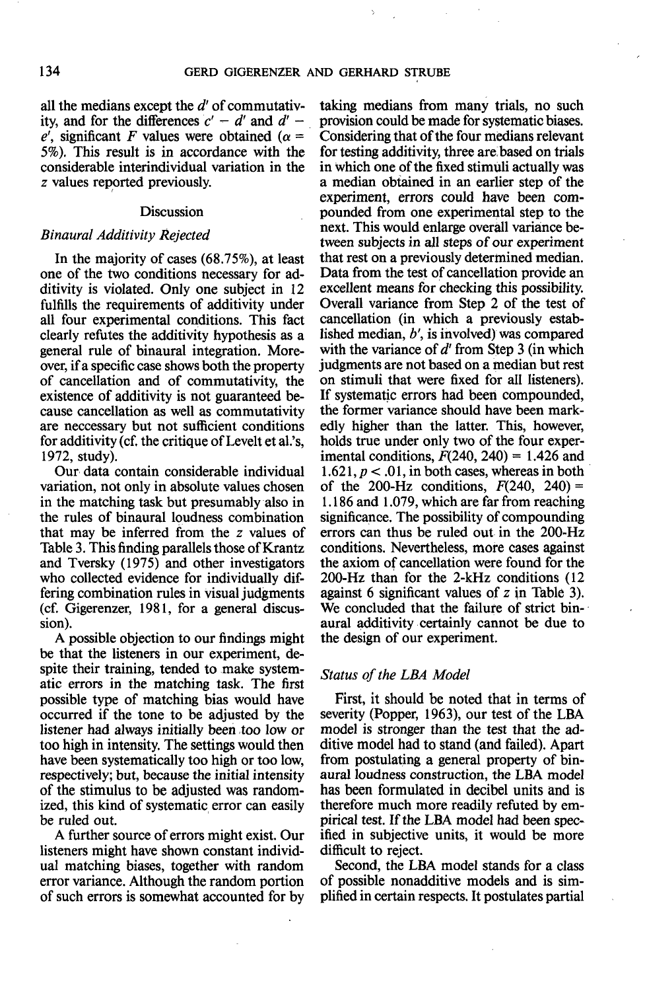all the medians except the *d'* of commutativity, and for the differences  $c' - d'$  and  $d'$  $e'$ , significant *F* values were obtained ( $\alpha$  = 5%). This result is in accordance with the considerable interindividual variation in the *z* values reported previously.

#### Discussion

### *Binauml Additivity Rejected*

In the majority of cases (68.75%), at least one of the two conditions necessary for additivity is violated. Only one subject in 12 fulfills the requirements of additivity under all four experimental conditions. This fact clearly refutes the additivity hypothesis as a general rule of binaural integration. Moreover, if a specific case shows both the property of cancellation and of commutativity, the existence of additivity is not guaranteed because cancellation as well as commutativity are neccessary but not sufficient conditions for additivity (cf. the critique of Levelt et al.'s, 1972, study).

Our data contain considerable individual variation, not only in absolute values chosen in the matching task but presumably also in the rules of binaural loudness combination that may be inferred from the *z* values of Table 3. This finding parallels those of Krantz and Tversky (1975) and other investigators who collected evidence for individually differing combination rules in visual judgments (cf. Gigerenzer, 1981, for a general discussion).

A possible objection to our findings might be that the listeners in our experiment, despite their training, tended to make systematic errors in the matching task. The first possible type of matching bias would have occurred if the tone to be adjusted by the listener had always initially been too low or too high in intensity. The settings would then have been systematically too high or too low, respectively; but, because the initial intensity of the stimulus to be adjusted was randomized, this kind of systematic error can easily be ruled out.

A further source of errors might exist. Our listeners might have shown constant individual matching biases, together with random error variance. Although the random portion of such errors is somewhat accounted for by

taking medians from many trials, no such provision could be made for systematic biases. Considering that of the four medians relevant for testing additivity, three are based on trials in which one of the fixed stimuli actually was a median obtained in an earlier step of the experiment, errors could have been compounded from one experimental step to the next. This would enlarge overall variance between subjects in all steps of our experiment that rest on a previously determined median. Data from the test of cancellation provide an excellent means for checking this possibility. Overall variance from Step 2 of the test of cancellation (in which a previously established median, *b',* is involved) was compared with the variance of *d'* from Step 3 (in which judgments are not based on a median but rest on stimuli that were fixed for all listeners). If systematic errors had been compounded, the former variance should have been markedly higher than the latter. This, however, holds true under only two of the four experimental conditions,  $\dot{F}(240, 240) = 1.426$  and 1.621,  $p < 0.01$ , in both cases, whereas in both of the 200-Hz conditions, *F(240,* 240) = 1.186 and 1.079, which are far from reaching significance. The possibility of compounding errors can thus be ruled out in the 200-Hz conditions. Nevertheless, more cases against the axiom of cancellation were found for the 200-Hz than for the 2-kHz conditions (12 against 6 significant values of z in Table 3). We concluded that the failure of strict binaural additivity certainly cannot be due to the design of our experiment.

#### *Status of the LBA Model*

First, it should be noted that in terms of severity (Popper, 1963), our test of the LBA model is stronger than the test that the additive model had to stand (and failed). Apart from postulating a general property of binaural loudness construction, the LBA model has been formulated in decibel units and is therefore much more readily refuted by empirical test. If the LBA model had been specified in subjective units, it would be more difficult to reject.

Second, the LBA model stands for a class of possible nonadditive models and is simplified in certain respects. It postulates partial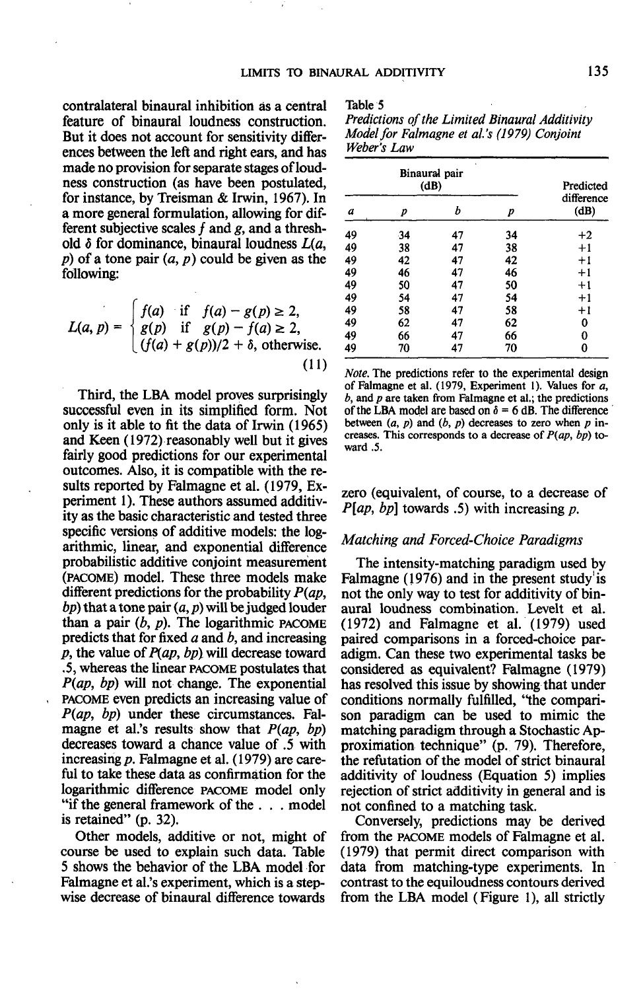contralateral binaural inhibition as a central feature of binaural loudness construction. But it does not account for sensitivity differences between the left and right ears, and has made no provision for separate stages of loudness construction (as have been postulated, for instance, by Treisman & Irwin, 1967). In a more general formulation, allowing for different subjective scales / and *g,* and a threshold *8* for dominance, binaural loudness *L(a, p)* of a tone pair *(a, p)* could be given as the following:

$$
L(a, p) = \begin{cases} f(a) & \text{if } f(a) - g(p) \ge 2, \\ g(p) & \text{if } g(p) - f(a) \ge 2, \\ (f(a) + g(p))/2 + \delta, \text{ otherwise.} \end{cases}
$$
(11)

Third, the LBA model proves surprisingly successful even in its simplified form. Not only is it able to fit the data of Irwin (1965) and Keen (1972) reasonably well but it gives fairly good predictions for our experimental outcomes. Also, it is compatible with the results reported by Falmagne et al. (1979, Experiment 1). These authors assumed additivity as the basic characteristic and tested three specific versions of additive models: the logarithmic, linear, and exponential difference probabilistic additive conjoint measurement (PACOME) model. These three models make different predictions for the probability *P(ap, bp)* that a tone pair *(a, p)* will be judged louder than a pair *(b, p).* The logarithmic PACOME predicts that for fixed *a* and *b,* and increasing *p*, the value of  $P(ap, bp)$  will decrease toward .5, whereas the linear PACOME postulates that *P(ap, bp)* will not change. The exponential PACOME even predicts an increasing value of *P(ap, bp)* under these circumstances. Falmagne et al.'s results show that *P(ap, bp)* decreases toward a chance value of .5 with increasing *p.* Falmagne et al. (1979) are careful to take these data as confirmation for the logarithmic difference PACOME model only "if the general framework of the . . . model is retained" (p. 32).

Other models, additive or not, might of course be used to explain such data. Table 5 shows the behavior of the LBA model for Falmagne et al.'s experiment, which is a stepwise decrease of binaural difference towards

| r. |  |
|----|--|
|----|--|

| Predictions of the Limited Binaural Additivity |
|------------------------------------------------|
| Model for Falmagne et al.'s (1979) Conjoint    |
| Weber's Law                                    |

|    | Binaural pair<br>(dB) | Predicted |    |                    |
|----|-----------------------|-----------|----|--------------------|
| a  | р                     | b         | p  | difference<br>(dB) |
| 49 | -34                   | 47        | 34 | $+2$               |
| 49 | 38                    | 47        | 38 | $+1$               |
| 49 | 42                    | 47        | 42 | $+1$               |
| 49 | 46                    | 47        | 46 | $+1$               |
| 49 | 50                    | 47        | 50 | $+1$               |
| 49 | 54                    | 47        | 54 | $+1$               |
| 49 | 58                    | 47        | 58 | $+1$               |
| 49 | 62                    | 47        | 62 | 0                  |
| 49 | 66                    | 47        | 66 | 0                  |
| 49 | 70                    | 47        | 70 | 0                  |

*Note.* The predictions refer to the experimental design of Falmagne et al. (1979, Experiment 1). Values for *a, b,* and *p* are taken from Falmagne et al.; the predictions of the LBA model are based on  $\delta = 6$  dB. The difference between *(a, p)* and *(b, p)* decreases to zero when *p* increases. This corresponds to a decrease of *P(ap, bp)* toward .5.

zero (equivalent, of course, to a decrease of *P[ap, bp]* towards .5) with increasing *p.*

# *Matching and Forced-Choice Paradigms*

The intensity-matching paradigm used by Falmagne (1976) and in the present study'is not the only way to test for additivity of binaural loudness combination. Levelt et al. (1972) and Falmagne et al. (1979) used paired comparisons in a forced-choice paradigm. Can these two experimental tasks be considered as equivalent? Falmagne (1979) has resolved this issue by showing that under conditions normally fulfilled, "the comparison paradigm can be used to mimic the matching paradigm through a Stochastic Approximation technique" (p. 79). Therefore, the refutation of the model of strict binaural additivity of loudness (Equation 5) implies rejection of strict additivity in general and is not confined to a matching task.

Conversely, predictions may be derived from the PACOME models of Falmagne et al. (1979) that permit direct comparison with data from matching-type experiments. In contrast to the equiloudness contours derived from the LBA model (Figure 1), all strictly